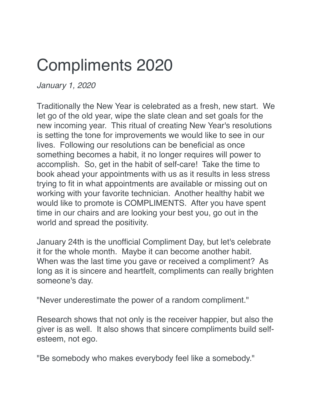## Compliments 2020

*January 1, 2020*

Traditionally the New Year is celebrated as a fresh, new start. We let go of the old year, wipe the slate clean and set goals for the new incoming year. This ritual of creating New Year's resolutions is setting the tone for improvements we would like to see in our lives. Following our resolutions can be beneficial as once something becomes a habit, it no longer requires will power to accomplish. So, get in the habit of self-care! Take the time to book ahead your appointments with us as it results in less stress trying to fit in what appointments are available or missing out on working with your favorite technician. Another healthy habit we would like to promote is COMPLIMENTS. After you have spent time in our chairs and are looking your best you, go out in the world and spread the positivity.

January 24th is the unofficial Compliment Day, but let's celebrate it for the whole month. Maybe it can become another habit. When was the last time you gave or received a compliment? As long as it is sincere and heartfelt, compliments can really brighten someone's day.

"Never underestimate the power of a random compliment."

Research shows that not only is the receiver happier, but also the giver is as well. It also shows that sincere compliments build selfesteem, not ego.

"Be somebody who makes everybody feel like a somebody."